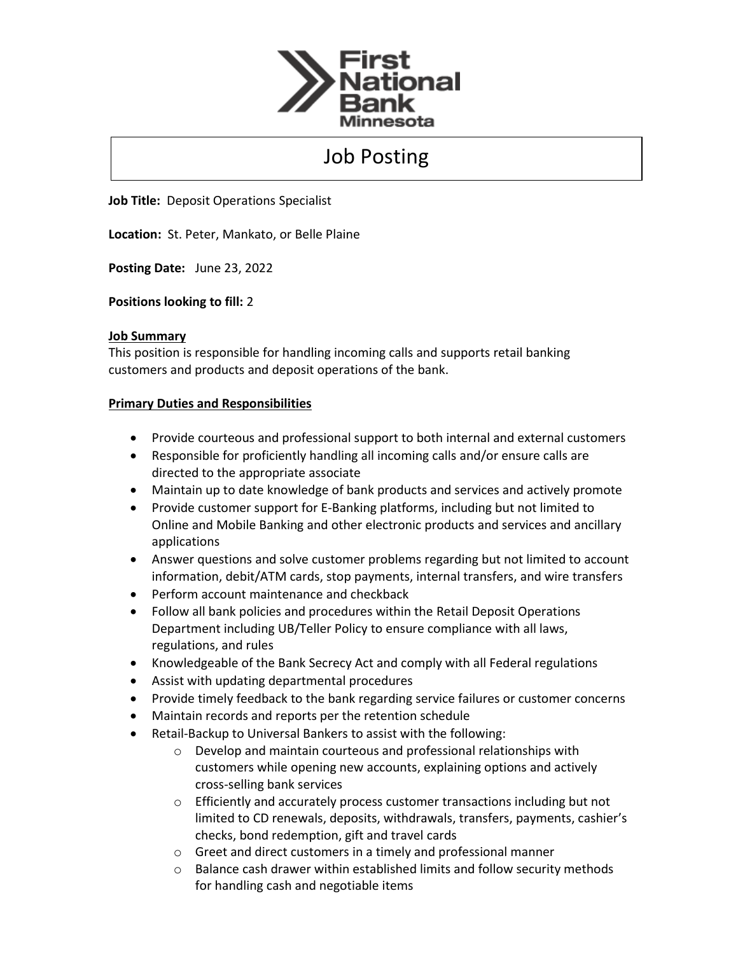

## Job Posting

**Job Title:** Deposit Operations Specialist

**Location:** St. Peter, Mankato, or Belle Plaine

**Posting Date:** June 23, 2022

**Positions looking to fill:** 2

## **Job Summary**

This position is responsible for handling incoming calls and supports retail banking customers and products and deposit operations of the bank.

## **Primary Duties and Responsibilities**

- Provide courteous and professional support to both internal and external customers
- Responsible for proficiently handling all incoming calls and/or ensure calls are directed to the appropriate associate
- Maintain up to date knowledge of bank products and services and actively promote
- Provide customer support for E-Banking platforms, including but not limited to Online and Mobile Banking and other electronic products and services and ancillary applications
- Answer questions and solve customer problems regarding but not limited to account information, debit/ATM cards, stop payments, internal transfers, and wire transfers
- Perform account maintenance and checkback
- Follow all bank policies and procedures within the Retail Deposit Operations Department including UB/Teller Policy to ensure compliance with all laws, regulations, and rules
- Knowledgeable of the Bank Secrecy Act and comply with all Federal regulations
- Assist with updating departmental procedures
- Provide timely feedback to the bank regarding service failures or customer concerns
- Maintain records and reports per the retention schedule
- Retail-Backup to Universal Bankers to assist with the following:
	- o Develop and maintain courteous and professional relationships with customers while opening new accounts, explaining options and actively cross-selling bank services
	- o Efficiently and accurately process customer transactions including but not limited to CD renewals, deposits, withdrawals, transfers, payments, cashier's checks, bond redemption, gift and travel cards
	- o Greet and direct customers in a timely and professional manner
	- o Balance cash drawer within established limits and follow security methods for handling cash and negotiable items